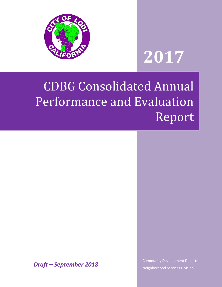

# **2017**

## CDBG Consolidated Annual Performance and Evaluation Report

<sup>1</sup> | Page *Draft – September 2018*

Community Development Department Neighborhood Services Division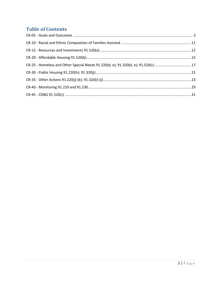## **Table of Contents**

<span id="page-1-0"></span>

| CR-25 - Homeless and Other Special Needs 91.220(d, e); 91.320(d, e); 91.520(c) 17 |  |
|-----------------------------------------------------------------------------------|--|
|                                                                                   |  |
|                                                                                   |  |
|                                                                                   |  |
|                                                                                   |  |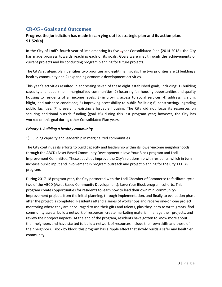## **CR-05 - Goals and Outcomes**

## **Progress the jurisdiction has made in carrying out its strategic plan and its action plan. 91.520(a)**

In the City of Lodi's fourth year of implementing its five-year Consolidated Plan (2014-2018), the City has made progress towards reaching each of its goals. Goals were met through the achievements of current projects and by conducting program planning for future projects.

The City's strategic plan identifies two priorities and eight main goals. The two priorities are 1) building a healthy community and 2) expanding economic development activities.

This year's activities resulted in addressing seven of these eight established goals, including: 1) building capacity and leadership in marginalized communities; 2) fostering fair housing opportunities and quality housing to residents of all income levels; 3) improving access to social services; 4) addressing slum, blight, and nuisance conditions; 5) improving accessibility to public facilities; 6) constructing/upgrading public facilities; 7) preserving existing affordable housing. The City did not focus its resources on securing additional outside funding (goal #8) during this last program year; however, the City has worked on this goal during other Consolidated Plan years.

#### *Priority 1: Building a healthy community*

1) Building capacity and leadership in marginalized communities

The City continues its efforts to build capacity and leadership within its lower-income neighborhoods through the ABCD (Asset Based Community Development): Love Your Block program and Lodi Improvement Committee. These activities improve the City's relationship with residents, which in turn increase public input and involvement in program outreach and project planning for the City's CDBG program.

During 2017-18 program year, the City partnered with the Lodi Chamber of Commerce to facilitate cycle two of the ABCD (Asset Based Community Development): Love Your Block program cohorts. This program creates opportunities for residents to learn how to lead their own mini communityimprovement projects from the initial planning, through implementation, and finally to evaluation phase after the project is completed. Residents attend a series of workshops and receive one-on-one project mentoring where they are encouraged to use their gifts and talents, plus they learn to write grants, find community assets, build a network of resources, create marketing material, manage their projects, and review their project impacts. At the end of the program, residents have gotten to know more about their neighbors and have started to build a network of resources include their own skills and those of their neighbors. Block by block, this program has a ripple effect that slowly builds a safer and healthier community.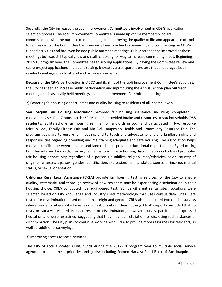Secondly, the City increased the Lodi Improvement Committee's involvement in CDBG application selection process. The Lodi Improvement Committee is made up of five members who are commissioned with the purpose of maintaining and improving the quality of life and appearance of Lodi for all residents. The Committee has previously been involved in reviewing and commenting on CDBGfunded activities and has even hosted public outreach meetings. Public attendance improved at these meetings but was still typically low and staff is looking for way to increase community input. Beginning 2017-18 program year, the Committee began scoring applications. By having the Committee review and score project applications in a public setting, it creates a transparent process that encourages both residents and agencies to attend and provide comments.

Because of the City's participation in ABCD and its shift of the Lodi Improvement Committee's activities, the City has seen an increase public participation and input during the Annual Action plan outreach meetings, such as locally held meetings and Lodi Improvement Committee meetings.

2) Fostering fair housing opportunities and quality housing to residents of all income levels

**San Joaquin Fair Housing Association** provided fair housing assistance, including: completed 17 mediation cases for 17 households (52 residents), provided intake and resources to 330 households (988 residents, facilitated one fair housing seminar for landlords in Lodi, and participated in two resource fairs in Lodi, Family Fitness Fair and Dia Del Campesino Health and Community Resource Fair. The program goals are to ensure fair housing, and to teach and advocate tenant and landlord rights and responsibilities regarding providing and maintaining adequate and safe housing. The Association helps mediate conflicts between tenants and landlords and provide educational opportunities. By educating both tenants and landlords, the program aims to eliminate housing discrimination in Lodi and promotes fair housing opportunity regardless of a person's disability, religion, race/ethnicity, color, country of origin or ancestry, age, sex, gender identification/expression, familial status, source of income, marital status, or sexual orientation.

**California Rural Legal Assistance (CRLA)** provide fair housing testing services for the City to ensure quality, systematic, and thorough review of how residents may be experiencing discrimination in their housing choice. CRLA conducted five audit-based tests at five different rental sites. Locations were selected based on City knowledge and industry used methodology that uses census data. Sites were tested for discrimination based on national origin and gender. CRLA also conducted two on-site surveys where residents where asked a series of questions about their housing. CRLA's report concluded that no tests or surveys resulted in clear result of discrimination; however, survey participants expressed hesitation and were restrained, suggesting that they may fear retaliation for disclosing such instances of discrimination. The City plans to continue working with CRLA to provide more resources for residents, as well as, additional surveying.

## 3) Improving access to social services

The City of Lodi allocated CDBG funds during the 2017-18 program year to multiple social service agencies to meet these priorities and goals; including Second Harvest Food Bank of San Joaquin and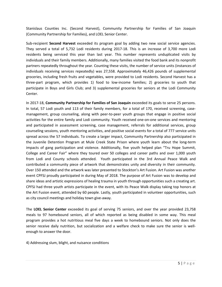Stanislaus Counties Inc. (Second Harvest), Community Partnership for Families of San Joaquin (Community Partnership for Families), and LOEL Senior Center.

Sub-recipient **Second Harvest** exceeded its program goal by adding two new social service agencies. They served a total of 5,732 Lodi residents during 2017-18. This is an increase of 3,700 more Lodi residents being serviced this year than last year. This number represents unduplicated visits by individuals and their family members. Additionally, many families visited the food bank and its nonprofit partners repeatedly throughout the year. Counting these visits, the number of service units (instances of individuals receiving services repeatedly) was 27,558. Approximately 46,426 pounds of supplemental groceries, including fresh fruits and vegetables, were provided to Lodi residents. Second Harvest has a three-part program, which provides 1) food to low-income families; 2) groceries to youth that participate in Boys and Girls Club; and 3) supplemental groceries for seniors at the Lodi Community Center.

In 2017-18, **Community Partnership for Families of San Joaquin** exceeded its goals to serve 25 persons. In total, 57 Lodi youth and 113 of their family members, for a total of 170, received screening, casemanagement, group counseling, along with peer-to-peer youth groups that engage in positive social activities for the entire family and Lodi community. Youth received one-on-one services and mentoring and participated in assessment screening, case management, referrals for additional services, group counseling sessions, youth mentoring activities, and positive social events for a total of 777 service units spread across the 57 individuals. To create a larger impact, Community Partnership also participated in the Juvenile Detention Program at Mule Creek State Prison where youth learn about the long-term impacts of gang participation and violence. Additionally, five youth helped plan "Tru Hope Summit, College and Career Fair" where they toured over 50 colleges and career paths and over 1,000 youth from Lodi and County schools attended. Youth participated in the 3rd Annual Peace Walk and contributed a community piece of artwork that demonstrates unity and diversity in their community. Over 150 attended and the artwork was later presented to Stockton's Art Fusion. Art Fusion was another event CPFSJ proudly participated in during May of 2018. The purpose of Art Fusion was to develop and share ideas and artistic expressions of healing trauma in youth through opportunities such a creating art. CPFSJ had three youth artists participate in the event, with its Peace Walk display taking top honors at the Art Fusion event, attended by 60 people. Lastly, youth participated in volunteer opportunities, such as city council meetings and holiday town give-away.

The **LOEL Senior Center** exceeded its goal of serving 75 seniors, and over the year provided 23,758 meals to 97 homebound seniors, all of which reported as being disabled in some way. This meal program provides a hot nutritious meal five days a week to homebound seniors. Not only does the senior receive daily nutrition, but socialization and a welfare check to make sure the senior is wellenough to answer the door.

4) Addressing slum, blight, and nuisance conditions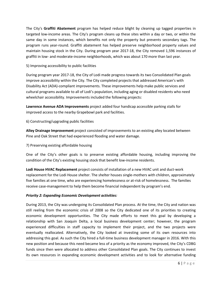The City's **Graffiti Abatement** program has helped reduce blight by cleaning up tagged properties in targeted low-income areas. The City's program cleans up these sites within a day or two, or within the same day in some instances, which benefits not only the property but prevents secondary tags. The program runs year-round. Graffiti abatement has helped preserve neighborhood property values and maintain housing stock in the City. During program year 2017-18, the City removed 1,596 instances of graffiti in low- and moderate-income neighborhoods, which was about 170 more than last year.

## 5) Improving accessibility to public facilities

During program year 2017-18, the City of Lodi made progress towards its two Consolidated Plan goals improve accessibility within the City. The City completed projects that addressed American's with Disability Act (ADA)-compliant improvements. These improvements help make public services and cultural programs available to all of Lodi's population, including aging or disabled residents who need wheelchair accessibility. Improvements included the following projects:

**Lawrence Avenue ADA Improvements** project added four handicap accessible parking stalls for improved access to the nearby Grapebowl park and facilities.

6) Constructing/upgrading public facilities

**Alley Drainage Improvement** project consisted of improvements to an existing alley located between Pine and Oak Street that had experienced flooding and water damage.

7) Preserving existing affordable housing

One of the City's other goals is to preserve existing affordable housing, including improving the condition of the City's existing housing stock that benefit low-income residents.

**Lodi House HVAC Replacement** project consists of installation of a new HVAC unit and duct-work replacement for the Lodi House shelter. The shelter houses single-mothers with children, approximately five families at one time, who are experiencing homelessness or at-risk of homelessness. The families receive case-management to help them become financial independent by program's end.

## *Priority 2: Expanding Economic Development activities:*

During 2013, the City was undergoing its Consolidated Plan process. At the time, the City and nation was still reeling from the economic crisis of 2008 so the City dedicated one of its priorities to creating economic development opportunities. The City made efforts to meet this goal by developing a relationship with San Joaquin Delta, a local business development center; however, the program experienced difficulties in staff capacity to implement their project, and the two projects were eventually reallocated. Alternatively, the City looked at investing some of its own resources into addressing this goal. As such the City hired a full-time business development manager in 2016. With this new position and because this need became less of a priority as the economy improved, the City's CDBG funds since then were allocated to address other Consolidated Plan goals. The City continues to invest its own resources in expanding economic development activities and to look for alternative funding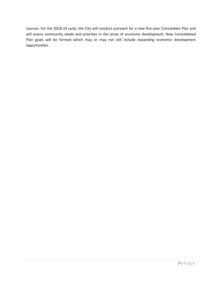sources. For the 2018-19 cycle, the City will conduct outreach for a new five-year Consolidate Plan and will assess community needs and priorities in the areas of economic development. New Consolidated Plan goals will be formed which may or may not still include expanding economic development opportunities.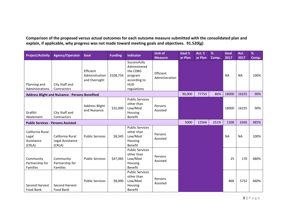**Comparison of the proposed versus actual outcomes for each outcome measure submitted with the consolidated plan and explain, if applicable, why progress was not made toward meeting goals and objectives. 91.520(g)**

| <b>Project/Activity</b>                           | <b>Agency/Operator</b>                                 | Goal                                         | <b>Funding</b> | <b>Indicator</b>                                                                                 | <b>Unit of</b><br><b>Measure</b> | Goal 5<br>yr Plan | <b>Act. 5</b><br>yr Plan | %<br>Comp. | Goal<br>2017 | Act.<br>2017 | %<br>Comp. |
|---------------------------------------------------|--------------------------------------------------------|----------------------------------------------|----------------|--------------------------------------------------------------------------------------------------|----------------------------------|-------------------|--------------------------|------------|--------------|--------------|------------|
| Planning and<br>Administrations                   | City Staff and<br>Contractors                          | Efficient<br>Adminsitration<br>and Oversight | \$108,754      | Successfully<br>Administered<br>the CDBG<br>program<br>according to<br><b>HUD</b><br>regulations | Efficient<br>Administration      |                   |                          |            | <b>NA</b>    | <b>NA</b>    | 100%       |
|                                                   | <b>Address Blight and Nuisance - Persons Benefited</b> |                                              |                |                                                                                                  |                                  | 90,000            | 77755                    | 86%        | 18000        | 16235        | 90%        |
| Grafitti<br>Abatement                             | City Staff and<br>Contractors                          | <b>Address Blight</b><br>and Nuisance        | \$32,000       | <b>Public Services</b><br>other than<br>Low/Mod<br>Housing<br><b>Benefit</b>                     | Persons<br>Assisted              |                   |                          |            | 18000        | 16235        | 90%        |
| <b>Public Services - Persons Assisted</b>         |                                                        |                                              |                |                                                                                                  |                                  | 5000              | 12566                    | 251%       | 1308         | 6346         | 485%       |
| California Rural<br>Legal<br>Assistance<br>(CRLA) | California Rural<br>Legal Assistance<br>(CRLA)         | <b>Public Services</b>                       | \$8,345        | <b>Public Services</b><br>other than<br>Low/Mod<br>Housing<br>Benefit                            | Persons<br>Assisted              |                   |                          |            | <b>NA</b>    | <b>NA</b>    | 100%       |
| Community<br>Partnership for<br><b>Families</b>   | Community<br>Partnership for<br><b>Families</b>        | <b>Public Services</b>                       | \$47,065       | <b>Public Services</b><br>other than<br>Low/Mod<br>Housing<br><b>Benefit</b>                     | Persons<br>Assisted              |                   |                          |            | 25           | 170          | 680%       |
| Second Harvest<br>Food Bank                       | Second Harvest<br>Food Bank                            | <b>Public Services</b>                       | \$8,000        | <b>Public Services</b><br>other than<br>Low/Mod<br>Housing<br><b>Benefit</b>                     | Persons<br>Assisted              |                   |                          |            | 868          | 5732         | 660%       |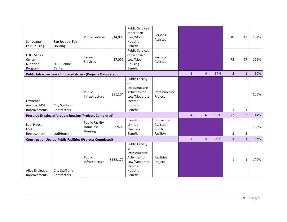| San Joaquin<br><b>Fair Housing</b>                                | San Joaquin Fair<br>Housing                                         | <b>Public Services</b>                   | \$14,000  | <b>Public Services</b><br>other than<br>Low/Mod<br>Housing<br>Benefit                                                   | Persons<br>Assisted              |                         |                |              | 340            | 347                            | 102%        |
|-------------------------------------------------------------------|---------------------------------------------------------------------|------------------------------------------|-----------|-------------------------------------------------------------------------------------------------------------------------|----------------------------------|-------------------------|----------------|--------------|----------------|--------------------------------|-------------|
| <b>LOEL Senior</b><br>Center<br><b>Nutrition</b><br>Program       | <b>LOEL Senior</b><br>Center                                        | Senior<br>Services                       | \$7,000   | <b>Public Services</b><br>other than<br>Low/Mod<br>Housing<br>Benefit                                                   | Persons<br>Assisted              |                         |                |              | 75             | 97                             | 129%        |
|                                                                   | <b>Public Infrastructure - Improved Access (Projects Completed)</b> |                                          |           |                                                                                                                         |                                  | 6                       | $\overline{4}$ | 67%          | $\overline{2}$ | $\mathbf{1}$                   | 50%         |
| Lawrence<br>Avenue ADA<br>Improvements                            | City Staff and<br>Contractors                                       | Public<br>Infrastructure                 | \$81,104  | <b>Public Facility</b><br>or<br>Infrastructure<br>Activities for<br>Low/Moderate<br>Income<br>Housing<br>Benefit        | Infrastructure<br>Project        | $\overline{\mathbf{4}}$ | $6\phantom{a}$ | 150%         | 1<br>22        | $\mathbf{1}$<br>$\overline{3}$ | 100%<br>14% |
|                                                                   | <b>Preserve Existing affordable housing (Projects Completed)</b>    |                                          |           | Low-Mod                                                                                                                 | Households                       |                         |                |              |                |                                |             |
| Lodi House<br><b>HVAC</b><br>Replacement                          | LodiHouse                                                           | Public Facility -<br>Homeless<br>Housing | 22408     | Limited<br>Clientele<br>Benefit                                                                                         | Assisted<br>(Public<br>Facility) |                         |                |              | 3              | 3                              | 100%        |
| <b>Construct or Upgrad Public Facilities (Projects Completed)</b> |                                                                     |                                          |           | $\overline{4}$                                                                                                          | $\overline{4}$                   | 100%                    | $\overline{3}$ | $\mathbf{1}$ | 33%            |                                |             |
| Alley Drainage<br>Improvements                                    | City Staff and<br>Contractors                                       | Public<br>Infrastructure                 | \$162,177 | <b>Public Facility</b><br>or<br>Infrastructure<br>Activities for<br>Low/Moderate<br>Income<br>Housing<br><b>Benefit</b> | <b>Facilities</b><br>Project     |                         |                |              | $\mathbf{1}$   | $\mathbf{1}$                   | 100%        |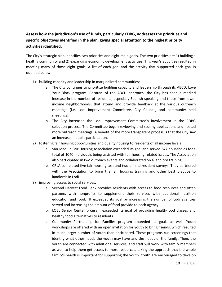## **Assess how the jurisdiction's use of funds, particularly CDBG, addresses the priorities and specific objectives identified in the plan, giving special attention to the highest priority activities identified.**

The City's strategic plan identifies two priorities and eight main goals. The two priorities are 1) building a healthy community and 2) expanding economic development activities. This year's activities resulted in meeting many of those eight goals. A list of each goal and the activity that supported each goal is outlined below:

- 1) building capacity and leadership in marginalized communities;
	- a. The City continues to prioritize building capacity and leadership through its ABCD: Love Your Block program. Because of the ABCD approach, the City has seen a marked increase in the number of residents, especially Spanish-speaking and those from lower income neighborhoods, that attend and provide feedback at the various outreach meetings (i.e. Lodi Improvement Committee, City Council, and community held meetings).
	- b. The City increased the Lodi Improvement Committee's involvement in the CDBG selection process. The Committee began reviewing and scoring applications and hosted more outreach meetings. A benefit of the more transparent process is that the City saw an increase in public participation.
- 2) fostering fair housing opportunities and quality housing to residents of all income levels
	- a. San Joaquin Fair Housing Association exceeded its goal and served 347 households for a total of 1040 individuals being assisted with fair housing related issues. The Association also participated in two outreach events and collaborated on a landlord training.
	- b. CRLA completed five fair housing test and two on-site resident surveys. They partnered with the Association to bring the fair housing training and other best practice to landlords in Lodi.
- 3) improving access to social services;
	- a. Second Harvest Food Bank provides residents with access to food resources and often partners with nonprofits to supplement their services with additional nutrition education and food. It exceeded its goal by increasing the number of Lodi agencies served and increasing the amount of food provide to each agency.
	- b. LOEL Senior Center program exceeded its goal of providing health-food classes and healthy food alternatives to residents.
	- c. Community Partnership for Families program exceeded its goals as well. Youth workshops are offered with an open invitation for youth to bring friends, which resulted in much larger number of youth than anticipated. These programs run screenings that identify what other needs the youth may have and the needs of the family. Then, the youth are connected with additional services, and staff will work with family members as well to help them get access to more resources, taking the approach that the whole family's health is important for supporting the youth. Youth are encouraged to develop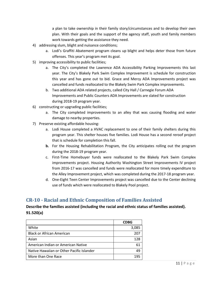a plan to take ownership in their family story/circumstances and to develop their own plan. With their goals and the support of the agency staff, youth and family members work towards getting the assistance they need.

- 4) addressing slum, blight and nuisance conditions;
	- a. Lodi's Graffiti Abatement program cleans up blight and helps deter those from future offenses. This year's program met its goal.
- 5) improving accessibility to public facilities;
	- a. The City's completed the Lawrence ADA Accessibility Parking Improvements this last year. The City's Blakely Park Swim Complex Improvement is schedule for construction this year and has gone out to bid. Grace and Mercy ADA Improvements project was cancelled and funds reallocated to the Blakely Swim Park Complex improvements.
	- b. Two additional ADA related projects, called City Hall / Carnegie Forum ADA Improvements and Public Counters ADA Improvements are slated for construction during 2018-19 program year.
- 6) constructing or upgrading public facilities;
	- a. The City completed improvements to an alley that was causing flooding and water damage to nearby properties.
- 7) Preserve existing affordable housing:
	- a. Lodi House completed a HVAC replacement to one of their family shelters during this program year. This shelter houses five families. Lodi House has a second reroof project that is schedule for completion this fall.
	- **b.** For the Housing Rehabilitation Program*,* the City anticipates rolling out the program during the 2018-19 program year.
	- c. First-Time Homebuyer funds were reallocated to the Blakely Park Swim Complex improvements project. Housing Authority Washington Street Improvements IV project from 2016-17 was cancelled and funds were reallocated for more timely expenditure to the Alley Improvement project, which was completed during the 2017-18 program year.
	- d. One-Eight Teen Center Improvements project was cancelled due to the Center declining use of funds which were reallocated to Blakely Pool project.

## <span id="page-10-0"></span>**CR-10 - Racial and Ethnic Composition of Families Assisted**

## **Describe the families assisted (including the racial and ethnic status of families assisted). 91.520(a)**

|                                           | <b>CDBG</b> |
|-------------------------------------------|-------------|
| White                                     | 3,085       |
| <b>Black or African American</b>          | 207         |
| Asian                                     | 128         |
| American Indian or American Native        | 61          |
| Native Hawaiian or Other Pacific Islander | 49          |
| More than One Race                        | 195         |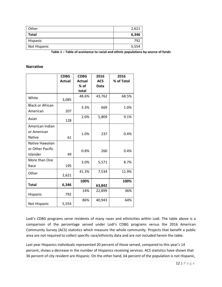| Other        | 2,621 |
|--------------|-------|
| <b>Total</b> | 6,346 |
| Hispanic     | 792   |
| Not Hispanic | 5,554 |

**Table 1 – Table of assistance to racial and ethnic populations by source of funds**

## **Narrative**

|                         | <b>CDBG</b> | <b>CDBG</b> | 2016       | 2016       |
|-------------------------|-------------|-------------|------------|------------|
|                         | Actual      | Actual      | <b>ACS</b> | % of Total |
|                         |             | $%$ of      | Data       |            |
|                         |             | total       |            |            |
| White                   | 3,085       | 48.6%       | 43,762     | 68.5%      |
| <b>Black or African</b> |             | 3.3%        | 669        | 1.0%       |
| American                | 207         |             |            |            |
| Asian                   | 128         | 2.0%        | 5,809      | 9.1%       |
| American Indian         |             |             |            |            |
| or American             |             | 1.0%        | 237        | 0.4%       |
| Native                  | 61          |             |            |            |
| Native Hawaiian         |             |             |            |            |
| or Other Pacific        |             | 0.8%        | 260        | 0.4%       |
| Islander                | 49          |             |            |            |
| More than One           |             | 3.0%        | 5,571      | 8.7%       |
| Race                    | 195         |             |            |            |
| Other                   | 2,621       | 41.3%       | 7,534      | 11.9%      |
|                         |             | 100%        |            | 100%       |
| <b>Total</b>            | 6,346       |             | 63,842     |            |
| Hispanic                | 792         | 14%         | 22,899     | 36%        |
| Not Hispanic            | 5,554       | 86%         | 40,943     | 64%        |

<span id="page-11-0"></span>Lodi's CDBG programs serve residents of many races and ethnicities within Lodi. The table above is a comparison of the percentage served under Lodi's CDBG programs versus the 2016 American Community Survey (ACS) statistics which measure the whole community. Projects that benefit a public area are not required to collect specific race/ethnicity data and are not included herein the table.

Last year Hispanics individuals represented 20 percent of those served, compared to this year's 14 percent, shows a decrease in the number of Hispanics receiving services. ACS statistics have shown that 36 percent of city resident are Hispanic. On the other hand, 64 percent of the population is not Hispanic,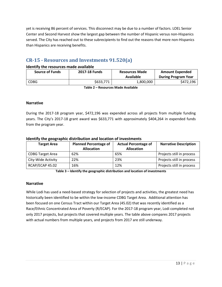yet is receiving 86 percent of services. This disconnect may be due to a number of factors. LOEL Senior Center and Second Harvest show the largest gap between the number of Hispanic versus non-Hispanics served. The City has reached out to these subrecipients to find out the reasons that more non-Hispanics than Hispanics are receiving benefits.

## **CR-15 - Resources and Investments 91.520(a)**

## **Identify the resources made available**

| <b>Source of Funds</b> | 2017-18 Funds | <b>Resources Made</b><br>Available | <b>Amount Expended</b><br><b>During Program Year</b> |
|------------------------|---------------|------------------------------------|------------------------------------------------------|
| <b>CDBG</b>            | \$633,771     | 1,800,000                          | \$472,196                                            |

**Table 2 – Resources Made Available**

#### **Narrative**

During the 2017-18 program year, \$472,196 was expended across all projects from multiple funding years. The City's 2017-18 grant award was \$633,771 with approximately \$404,264 in expended funds from the program year.

#### **Identify the geographic distribution and location of investments**

| <b>Target Area</b>      | <b>Planned Percentage of</b><br><b>Allocation</b> | <b>Actual Percentage of</b><br><b>Allocation</b> | <b>Narrative Description</b> |
|-------------------------|---------------------------------------------------|--------------------------------------------------|------------------------------|
| <b>CDBG Target Area</b> | 62%                                               | 65%                                              | Projects still in process    |
| City-Wide Activity      | 22%                                               | 23%                                              | Projects still in process    |
| RCAP/ECAP 45.02         | 16%                                               | 12%                                              | Projects still in process    |

**Table 3 – Identify the geographic distribution and location of investments**

## **Narrative**

While Lodi has used a need-based strategy for selection of projects and activities, the greatest need has historically been identified to be within the low-income CDBG Target Area. Additional attention has been focused on one Census Tract within our Target Area (45.02) that was recently identified as a Race/Ethnic Concentrated Area of Poverty (R/ECAP). For the 2017-18 program year, Lodi completed not only 2017 projects, but projects that covered multiple years. The table above compares 2017 projects with actual numbers from multiple years, and projects from 2017 are still underway.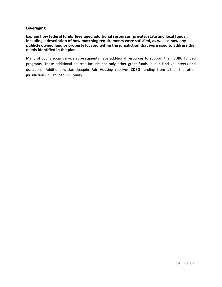#### **Leveraging**

**Explain how federal funds leveraged additional resources (private, state and local funds), including a description of how matching requirements were satisfied, as well as how any publicly owned land or property located within the jurisdiction that were used to address the needs identified in the plan.**

Many of Lodi's social service sub-recipients have additional resources to support their CDBG funded programs. These additional sources include not only other grant funds, but in-kind volunteers and donations. Additionally, San Joaquin Fair Housing receives CDBG funding from all of the other jurisdictions in San Joaquin County.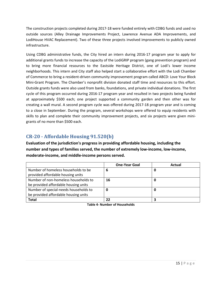The construction projects completed during 2017-18 were funded entirely with CDBG funds and used no outside sources (Alley Drainage Improvements Project, Lawrence Avenue ADA Improvements, and LodiHouse HVAC Replacement). Two of these three projects involved improvements to publicly owned infrastructure.

Using CDBG administrative funds, the City hired an intern during 2016-17 program year to apply for additional grants funds to increase the capacity of the LodiGRIP program (gang prevention program) and to bring more financial resources to the Eastside Heritage District, one of Lodi's lower income neighborhoods. This intern and City staff also helped start a collaborative effort with the Lodi Chamber of Commerce to bring a resident-driven community improvement program called ABCD: Love Your Block Mini-Grant Program. The Chamber's nonprofit division donated staff time and resources to this effort. Outside grants funds were also used from banks, foundations, and private individual donations. The first cycle of this program occurred during 2016-17 program year and resulted in two projects being funded at approximately \$500 each; one project supported a community garden and then other was for creating a wall mural. A second program cycle was offered during 2017-18 program year and is coming to a close in September. During the program, several workshops were offered to equip residents with skills to plan and complete their community improvement projects, and six projects were given minigrants of no more than \$500 each.

## <span id="page-14-0"></span>**CR-20 - Affordable Housing 91.520(b)**

**Evaluation of the jurisdiction's progress in providing affordable housing, including the number and types of families served, the number of extremely low-income, low-income, moderate-income, and middle-income persons served.**

|                                       | <b>One-Year Goal</b> | Actual |
|---------------------------------------|----------------------|--------|
| Number of homeless households to be   | 6                    |        |
| provided affordable housing units     |                      |        |
| Number of non-homeless households to  | 16                   |        |
| be provided affordable housing units  |                      |        |
| Number of special-needs households to | 0                    |        |
| be provided affordable housing units  |                      |        |
| Total                                 | 22                   |        |

**Table 4- Number of Households**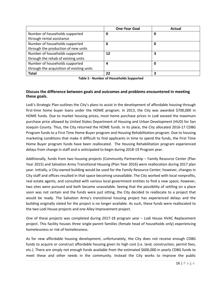|                                           | <b>One-Year Goal</b> | Actual |
|-------------------------------------------|----------------------|--------|
| Number of households supported            | 0                    | 0      |
| through rental assistance                 |                      |        |
| Number of households supported            | 6                    | 0      |
| through the production of new units       |                      |        |
| Number of households supported            | 12                   | 3      |
| through the rehab of existing units       |                      |        |
| Number of households supported            | 4                    | 0      |
| through the acquisition of existing units |                      |        |
| <b>Total</b>                              | 22                   | 3      |

**Table 5 - Number of Households Supported**

## **Discuss the difference between goals and outcomes and problems encountered in meeting these goals.**

Lodi's Strategic Plan outlines the City's plans to assist in the development of affordable housing through first-time home buyer loans under the HOME program. In 2013, the City was awarded \$700,000 in HOME funds. Due to market housing prices, most home purchase prices in Lodi exceed the maximum purchase price allowed by United States Department of Housing and Urban Development (HUD) for San Joaquin County. Thus, the City returned the HOME funds. In its place, the City allocated 2016-17 CDBG Program funds to a First Time Home Buyer program and Housing Rehabilitation program. Due to housing marketing conditions that make it difficult to find applicants in time to spend the funds, the First Time Home Buyer program funds have been reallocated. The Housing Rehabilitation program experienced delays from change in staff and is anticipated to begin during 2018-19 Program year.

Additionally, funds from two housing projects (Community Partnership – Family Resource Center (Plan Year 2015) and Salvation Army Transitional Housing (Plan Year 2016) were reallocation during 2017 plan year. Initially, a City-owned building would be used for the Family Resource Center; however, changes in City staff and offices resulted in that space becoming unavailable. The City worked with local nonprofits, real estate agents, and consulted with various local government entities to find a new space; however, two sites were pursued and both became unavailable. Seeing that the possibility of settling on a place soon was not certain and the funds were just sitting, the City decided to reallocate to a project that would be ready. The Salvation Army's transitional housing project has experienced delays and the building originally slated for the project is no longer available. As such, these funds were reallocated to the two Lodi House projects and one Alley Improvement project.

One of these projects was completed during 2017-18 program year – Lodi House HVAC Replacement project. This facility houses three single-parent families (female head of households only) experiencing homelessness or risk of homelessness.

As for new affordable housing development, unfortunately, the City does not receive enough CDBG funds to acquire or construct affordable housing given its high cost (i.e. land, construction, permit fees, etc.). There are simply not enough funds available from the estimated \$600,000 in yearly CDBG funds to meet these and other needs in the community. Instead the City works to improve the public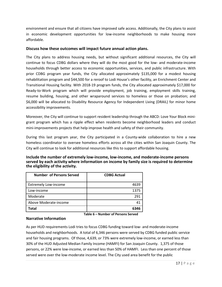environment and ensure that all citizens have improved safe access. Additionally, the City plans to assist in economic development opportunities for low-income neighborhoods to make housing more affordable.

## **Discuss how these outcomes will impact future annual action plans.**

The City plans to address housing needs, but without significant additional resources, the City will continue to focus CDBG dollars where they will do the most good for the low- and moderate-income households through better access to economic opportunities, services, and public infrastructure. With prior CDBG program year funds, the City allocated approximately \$135,000 for a modest housing rehabilitation program and \$44,500 for a reroof to Lodi House's other facility, an Enrichment Center and Transitional Housing facility. With 2018-19 program funds, the City allocated approximately \$17,000 for Ready-to-Work program which will provide employment, job training, employment skills training, resume building, housing, and other wraparound services to homeless or those on probation; and \$6,000 will be allocated to Disability Resource Agency for Independent Living (DRAIL) for minor home accessibility improvements.

Moreover, the City will continue to support resident leadership through the ABCD: Love Your Block minigrant program which has a ripple effect when residents become neighborhood leaders and conduct mini-improvements projects that help improve health and safety of their community.

During this last program year, the City participated in a County-wide collaboration to hire a new homeless coordinator to oversee homeless efforts across all the cities within San Joaquin County. The City will continue to look for additional resources like this to support affordable housing.

| Include the number of extremely low-income, low-income, and moderate-income persons         |
|---------------------------------------------------------------------------------------------|
| served by each activity where information on income by family size is required to determine |
| the eligibility of the activity.                                                            |

<span id="page-16-0"></span>

| <b>Number of Persons Served</b> | <b>CDBG Actual</b> |
|---------------------------------|--------------------|
| <b>Extremely Low-income</b>     | 4639               |
| Low-income                      | 1375               |
| Moderate                        | 291                |
| Above Moderate-income           | 41                 |
| Total                           | 6346               |

**Table 6 – Number of Persons Served**

## **Narrative Information**

As per HUD requirements Lodi tries to focus CDBG funding toward low- and moderate-income households and neighborhoods. A total of 6,346 persons were served by CDBG funded public service and fair housing programs. Of those, 4,639, or 73% were extremely low-income, or earned less than 30% of the HUD Adjusted Median Family Income (HAMFI) for San Joaquin County. 1,375 of those persons, or 22% were low-income, or earned less than 50% of HAMFI. Less than one percent of those served were over the low-moderate income level. The City used area benefit for the public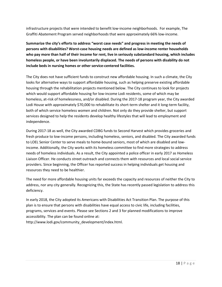infrastructure projects that were intended to benefit low-income neighborhoods. For example, The Graffiti Abatement Program served neighborhoods that were approximately 66% low-income.

**Summarize the city's efforts to address "worst case needs" and progress in meeting the needs of persons with disabilities? Worst-case housing needs are defined as low-income renter households who pay more than half of their income for rent, live in seriously substandard housing, which includes homeless people, or have been involuntarily displaced. The needs of persons with disability do not include beds in nursing homes or other service-centered facilities.**

The City does not have sufficient funds to construct new affordable housing. In such a climate, the City looks for alternative ways to support affordable housing, such as helping preserve existing affordable housing through the rehabilitation projects mentioned below. The City continues to look for projects which would support affordable housing for low-income Lodi residents, some of which may be homeless, at-risk of homelessness, and/or disabled. During the 2017-18 program year, the City awarded Lodi House with approximately \$70,000 to rehabilitate its short-term shelter and it long-term facility, both of which service homeless women and children. Not only do they provide shelter, but support services designed to help the residents develop healthy lifestyles that will lead to employment and independence.

During 2017-18 as well, the City awarded CDBG funds to Second Harvest which provides groceries and fresh produce to low-income persons, including homeless, seniors, and disabled. The City awarded funds to LOEL Senior Center to serve meals to home-bound seniors, most of which are disabled and lowincome. Additionally, the City works with its homeless committee to find more strategies to address needs of homeless individuals. As a result, the City appointed a police officer in early 2017 as Homeless Liaison Officer. He conducts street outreach and connects them with resources and local social service providers. Since beginning, the Officer has reported success in helping individuals get housing and resources they need to be healthier.

The need for more affordable housing units far exceeds the capacity and resources of neither the City to address, nor any city generally. Recognizing this, the State has recently passed legislation to address this deficiency.

In early 2018, the City adopted its Americans with Disabilities Act Transition Plan. The purpose of this plan is to ensure that persons with disabilities have equal access to civic life, including facilities, programs, services and events. Please see Sections 2 and 3 for planned modifications to improve accessibility. The plan can be found online at:

http://www.lodi.gov/community\_development/index.html.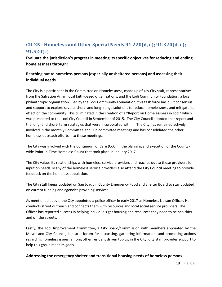## **CR-25 - Homeless and Other Special Needs 91.220(d, e); 91.320(d, e); 91.520(c)**

**Evaluate the jurisdiction's progress in meeting its specific objectives for reducing and ending homelessness through:**

## **Reaching out to homeless persons (especially unsheltered persons) and assessing their individual needs**

The City is a participant in the Committee on Homelessness, made up of key City staff, representatives from the Salvation Army, local faith-based organizations, and the Lodi Community Foundation, a local philanthropic organization. Led by the Lodi Community Foundation, this task force has built consensus and support to explore several short- and long- range solutions to reduce homelessness and mitigate its effect on the community. This culminated in the creation of a "Report on Homelessness in Lodi" which was presented to the Lodi City Council in September of 2015. The City Council adopted that report and the long- and short- term strategies that were incorporated within. The City has remained actively involved in the monthly Committee and Sub-committee meetings and has consolidated the other homeless outreach efforts into these meetings.

The City was involved with the Continuum of Care (CoC) in the planning and execution of the Countywide Point-in-Time Homeless Count that took place in January 2017.

The City values its relationships with homeless service providers and reaches out to those providers for input on needs. Many of the homeless service providers also attend the City Council meeting to provide feedback on the homeless population.

The City staff keeps updated on San Joaquin County Emergency Food and Shelter Board to stay updated on current funding and agencies providing services.

As mentioned above, the City appointed a police officer in early 2017 as Homeless Liaison Officer. He conducts street outreach and connects them with resources and local social service providers. The Officer has reported success in helping individuals get housing and resources they need to be healthier and off the streets.

Lastly, the Lodi Improvement Committee, a City Board/Commission with members appointed by the Mayor and City Council, is also a forum for discussing, gathering information, and promoting actions regarding homeless issues, among other resident driven topics, in the City. City staff provides support to help this group meet its goals.

## **Addressing the emergency shelter and transitional housing needs of homeless persons**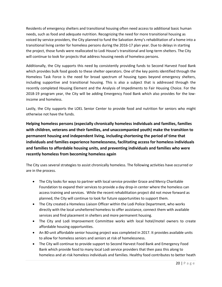Residents of emergency shelters and transitional housing often need access to additional basic human needs, such as food and adequate nutrition. Recognizing the need for more transitional housing as voiced by service providers, the City planned to fund the Salvation Army's rehabilitation of a home into a transitional living center for homeless persons during the 2016-17 plan year. Due to delays in starting the project, those funds were reallocated to Lodi House's transitional and long-term shelters. The City will continue to look for projects that address housing needs of homeless persons.

Additionally, the City supports this need by consistently providing funds to Second Harvest Food Bank which provides bulk food goods to these shelter operators. One of the key points identified through the Homeless Task Force is the need for broad spectrum of housing types beyond emergency shelters, including supportive and transitional housing. This is also a subject that is addressed through the recently completed Housing Element and the Analysis of Impediments to Fair Housing Choice. For the 2018-19 program year, the City will be adding Emergency Food Bank which also provides for the lowincome and homeless.

Lastly, the City supports the LOEL Senior Center to provide food and nutrition for seniors who might otherwise not have the funds.

**Helping homeless persons (especially chronically homeless individuals and families, families with children, veterans and their families, and unaccompanied youth) make the transition to permanent housing and independent living, including shortening the period of time that individuals and families experience homelessness, facilitating access for homeless individuals and families to affordable housing units, and preventing individuals and families who were recently homeless from becoming homeless again**

The City uses several strategies to assist chronically homeless. The following activities have occurred or are in the process.

- The City looks for ways to partner with local service provider Grace and Mercy Charitable Foundation to expand their services to provide a day drop-in center where the homeless can access training and services. While the recent rehabilitation project did not move forward as planned, the City will continue to look for future opportunities to support them.
- The City created a Homeless Liaison Officer within the Lodi Police Department, who works directly with the local unsheltered homeless to offer assistance, connect them with available services and find placement in shelters and more permanent housing.
- The City and Lodi Improvement Committee works with local hotel/motel owners to create affordable housing opportunities.
- An 80-unit affordable senior housing project was completed in 2017. It provides available units to allow for homeless seniors and seniors at risk of homelessness.
- The City will continue to provide support to Second Harvest Food Bank and Emergency Food Bank which provide food to many local Lodi service providers that then pass this along to homeless and at-risk homeless individuals and families. Healthy food contributes to better heath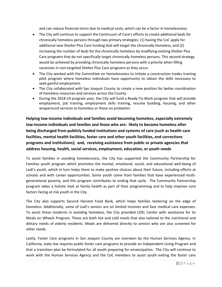and can reduce financial stress due to medical costs, which can be a factor in homelessness.

- The City will continue to support the Continuum of Care's efforts to create additional beds for chronically homeless persons through two primary strategies: (1) having the CoC apply for additional new Shelter Plus Care funding that will target the chronically homeless, and (2) increasing the number of beds for the chronically homeless by modifying existing Shelter Plus Care programs that do not specifically target chronically homeless persons. This second strategy would be achieved by providing chronically homeless persons with a priority when filling vacancies in non-targeted Shelter Plus Care programs as they occur.
- The City worked with the Committee on Homelessness to initiate a construction trades training pilot program where homeless individuals have opportunity to obtain the skills necessary to seek gainful employment.
- The City collaborated with San Joaquin County to create a new position for better coordination of homeless resources and services across the County.
- During the 2018-19 program year, the City will fund a Ready-To-Work program that will provide employment, job training, employment skills training, resume building, housing, and other wraparound services to homeless or those on probation.

**Helping low-income individuals and families avoid becoming homeless, especially extremely low-income individuals and families and those who are: likely to become homeless after being discharged from publicly funded institutions and systems of care (such as health care facilities, mental health facilities, foster care and other youth facilities, and corrections programs and institutions); and, receiving assistance from public or private agencies that address housing, health, social services, employment, education, or youth needs**

<span id="page-20-0"></span>To assist families in avoiding homelessness, the City has supported the Community Partnership for Families youth program which promotes the mental, emotional, social, and educational well-being of Lodi's youth, which in turn helps them to make positive choices about their future, including efforts at schools and with career opportunities. Some youth come from families that have experienced multigenerational poverty, and this program contributes to ending that cycle. The Community Partnership program takes a holistic look at family health as part of their programming and to help improve core factors facing at-risk youth in the City.

The City also supports Second Harvest Food Bank, which helps families teetering on the edge of homeless. Additionally, some of Lodi's seniors are on limited incomes and face medical care expenses. To assist these residents in avoiding homeless, the City provided LOEL Center with assistance for its Meals on Wheels Program. These are both hot and cold meals that also tailored to the nutritional and dietary needs of elderly residents. Meals are delivered directly to seniors who are also screened for other needs.

Lastly, Foster Care programs in San Joaquin County are overseen by the Human Services Agency. In California, state law requires public foster care programs to provide an Independent Living Program and that a transition plan be formulated for all youth preparing for emancipation. The City will continue to work with the Human Services Agency and the CoC members to assist youth exiting the foster care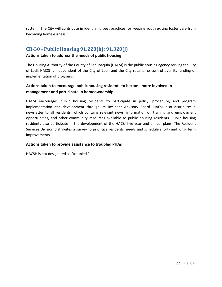system. The City will contribute in identifying best practices for keeping youth exiting foster care from becoming homelessness.

## **CR-30 - Public Housing 91.220(h); 91.320(j)**

#### **Actions taken to address the needs of public housing**

The Housing Authority of the County of San Joaquin (HACSJ) is the public housing agency serving the City of Lodi. HACSJ is independent of the City of Lodi, and the City retains no control over its funding or implementation of programs.

## **Actions taken to encourage public housing residents to become more involved in management and participate in homeownership**

HACSJ encourages public housing residents to participate in policy, procedure, and program implementation and development through its Resident Advisory Board. HACSJ also distributes a newsletter to all residents, which contains relevant news, information on training and employment opportunities, and other community resources available to public housing residents. Public housing residents also participate in the development of the HACSJ five-year and annual plans. The Resident Services Division distributes a survey to prioritize residents' needs and schedule short- and long- term improvements.

## **Actions taken to provide assistance to troubled PHAs**

HACSH is not designated as "troubled."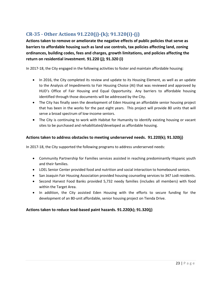## <span id="page-22-0"></span>**CR-35 - Other Actions 91.220(j)-(k); 91.320(i)-(j)**

**Actions taken to remove or ameliorate the negative effects of public policies that serve as barriers to affordable housing such as land use controls, tax policies affecting land, zoning ordinances, building codes, fees and charges, growth limitations, and policies affecting the return on residential investment. 91.220 (j); 91.320 (i)**

In 2017-18, the City engaged in the following activities to foster and maintain affordable housing:

- In 2016, the City completed its review and update to its Housing Element, as well as an update to the Analysis of Impediments to Fair Housing Choice (AI) that was reviewed and approved by HUD's Office of Fair Housing and Equal Opportunity. Any barriers to affordable housing identified through those documents will be addressed by the City.
- The City has finally seen the development of Eden Housing an affordable senior housing project that has been in the works for the past eight years. This project will provide 80 units that will serve a broad spectrum of low-income seniors.
- The City is continuing to work with Habitat for Humanity to identify existing housing or vacant sites to be purchased and rehabilitated/developed as affordable housing.

## **Actions taken to address obstacles to meeting underserved needs. 91.220(k); 91.320(j)**

In 2017-18, the City supported the following programs to address underserved needs:

- Community Partnership for Families services assisted in reaching predominantly Hispanic youth and their families.
- LOEL Senior Center provided food and nutrition and social interaction to homebound seniors.
- San Joaquin Fair Housing Association provided housing counseling services to 347 Lodi residents.
- Second Harvest Food Banks provided 5,732 needy families (includes all members) with food within the Target Area.
- In addition, the City assisted Eden Housing with the efforts to secure funding for the development of an 80-unit affordable, senior housing project on Tienda Drive.

## **Actions taken to reduce lead-based paint hazards. 91.220(k); 91.320(j)**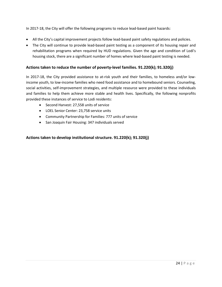In 2017-18, the City will offer the following programs to reduce lead-based paint hazards:

- All the City's capital improvement projects follow lead-based paint safety regulations and policies.
- The City will continue to provide lead-based paint testing as a component of its housing repair and rehabilitation programs when required by HUD regulations. Given the age and condition of Lodi's housing stock, there are a significant number of homes where lead-based paint testing is needed.

#### **Actions taken to reduce the number of poverty-level families. 91.220(k); 91.320(j)**

In 2017-18, the City provided assistance to at-risk youth and their families, to homeless and/or lowincome youth, to low-income families who need food assistance and to homebound seniors. Counseling, social activities, self-improvement strategies, and multiple resource were provided to these individuals and families to help them achieve more stable and health lives. Specifically, the following nonprofits provided these instances of service to Lodi residents:

- Second Harvest: 27,558 units of service
- LOEL Senior Center: 23,758 service units
- Community Partnership for Families: 777 units of service
- San Joaquin Fair Housing: 347 individuals served

#### **Actions taken to develop institutional structure. 91.220(k); 91.320(j)**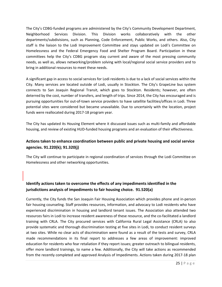The City's CDBG-funded programs are administered by the City's Community Development Department, Neighborhood Services Division. This Division works collaboratively with the other departments/subdivisions, such as Planning, Code Enforcement, Public Works, and others. Also, City staff is the liaison to the Lodi Improvement Committee and stays updated on Lodi's Committee on Homelessness and the Federal Emergency Food and Shelter Program Board. Participation in these committees help the City's CDBG program stay current and aware of the most pressing community needs, as well as, allows networking/problem solving with local/regional social service providers and to bring in additional resources to meet these needs.

A significant gap in access to social services for Lodi residents is due to a lack of social services within the City. Many services are located outside of Lodi, usually in Stockton. The City's GrapeLine bus system connects to San Joaquin Regional Transit, which goes to Stockton. Residents; however, are often deterred by the cost, number of transfers, and length of trips. Since 2014, the City has encouraged and is pursuing opportunities for out-of-town service providers to have satellite facilities/offices in Lodi. Three potential sites were considered but became unavailable. Due to uncertainly with the location, project funds were reallocated during 2017-18 program year.

The City has updated its Housing Element where it discussed issues such as multi-family and affordable housing, and review of existing HUD-funded housing programs and an evaluation of their effectiveness.

## **Actions taken to enhance coordination between public and private housing and social service agencies. 91.220(k); 91.320(j)**

The City will continue to participate in regional coordination of services through the Lodi Committee on Homelessness and other networking opportunities.

## **Identify actions taken to overcome the effects of any impediments identified in the jurisdictions analysis of impediments to fair housing choice. 91.520(a)**

Currently, the City funds the San Joaquin Fair Housing Association which provides phone and in-person fair housing counseling. Staff provides resources, information, and advocacy to Lodi residents who have experienced discrimination in housing and landlord tenant issues. The Association also attended two resources fairs in Lodi to increase resident awareness of these resource, and the co-facilitated a landlord training with CRLA. The City procured services with California Rural Legal Assistance (CRLA) to also provide systematic and thorough discrimination testing at five sites in Lodi, to conduct resident surveys at two sites. While no clear acts of discrimination were found as a result of the tests and survey, CRLA made recommendations in its final report to addresses a few areas of improvement: improved education for residents who fear retaliation if they report issues; greater outreach to bilingual residents, offer more landlord trainings, to name a few. Additionally, the City will take actions as recommended from the recently completed and approved Analysis of Impediments. Actions taken during 2017-18 plan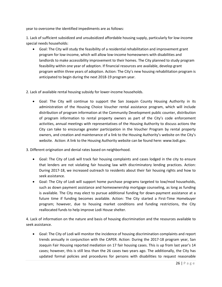year to overcome the identified impediments are as follows:

1. Lack of sufficient subsidized and unsubsidized affordable housing supply, particularly for low-income special needs households:

• Goal: The City will study the feasibility of a residential rehabilitation and improvement grant program for low-income, which will allow low-income homeowners with disabilities and landlords to make accessibility improvement to their homes. The City planned to study program feasibility within one year of adoption. If financial resources are available, develop grant program within three years of adoption. Action: The City's new housing rehabilitation program is anticipated to begin during the next 2018-19 program year.

2. Lack of available rental housing subsidy for lower-income households.

• Goal: The City will continue to support the San Joaquin County Housing Authority in its administration of the Housing Choice Voucher rental assistance program, which will include distribution of program information at the Community Development public counter, distribution of program information to rental property owners as part of the City's code enforcement activities, annual meetings with representatives of the Housing Authority to discuss actions the City can take to encourage greater participation in the Voucher Program by rental property owners, and creation and maintenance of a link to the Housing Authority's website on the City's website. Action: A link to the Housing Authority website can be found here: www.lodi.gov.

3. Different origination and denial rates based on neighborhood.

- Goal: The City of Lodi will track fair housing complaints and cases lodged in the city to ensure that lenders are not violating fair housing law with discriminatory lending practices. Action: During 2017-18, we increased outreach to residents about their fair housing rights and how to seek assistance.
- Goal: The City of Lodi will support home purchase programs targeted to low/mod households, such as down payment assistance and homeownership mortgage counseling, as long as funding is available. The City may elect to pursue additional funding for down-payment assistance at a future time if funding becomes available. Action: The City started a First-Time Homebuyer program; however, due to housing market conditions and funding restrictions, the City reallocated funds to help improve Lodi House shelter.

4. Lack of information on the nature and basis of housing discrimination and the resources available to seek assistance.

• Goal: The City of Lodi will monitor the incidence of housing discrimination complaints and report trends annually in conjunction with the CAPER. Action: During the 2017-18 program year, San Joaquin Fair Housing reported mediation on 17 fair housing cases. This is up from last year's 14 cases; however, this is still less than the 26 cases two years ago. The additionally, the City has updated formal policies and procedures for persons with disabilities to request reasonable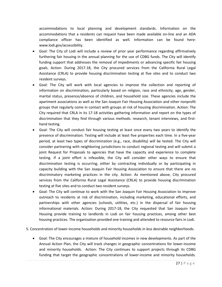accommodations to local planning and development standards. Information on the accommodations that a residents can request have been made available on-line and an ADA compliance officer has been identified as well. Information can be found here: www.lodi.gov/accessibility.

- Goal: The City of Lodi will include a review of prior year performance regarding affirmatively furthering fair housing in the annual planning for the use of CDBG funds. The City will identify funding support that addresses the removal of impediments or advancing specific fair housing goals. Action: During 2017-18, the City procured services from the California Rural Legal Assistance (CRLA) to provide housing discrimination testing at five sites and to conduct two resident surveys.
- Goal: The City will work with local agencies to improve the collection and reporting of information on discrimination, particularly based on religion, race and ethnicity, age, gender, marital status, presence/absence of children, and household size. These agencies include the apartment associations as well as the San Joaquin Fair Housing Association and other nonprofit groups that regularly come in contact with groups at risk of housing discrimination. Action: The City required that CRLA in its 17-18 activities gathering information and report on the types of discrimination that they find through various methods: research, tenant interviews, and firsthand testing.
- Goal: The City will conduct fair housing testing at least once every two years to identify the presence of discrimination. Testing will include at least five properties each time. In a five-year period, at least two types of discrimination (e.g., race, disability) will be tested. The City will consider partnering with neighboring jurisdictions to conduct regional testing and will submit a joint Request for Proposals to agencies that have the capacity and experience to complete testing. If a joint effort is infeasible, the City will consider other ways to ensure that discrimination testing is occurring, either by contracting individually or by participating in capacity building with the San Joaquin Fair Housing Association to ensure that there are no discriminatory marketing practices in the city. Action: As mentioned above, City procured services from the California Rural Legal Assistance (CRLA) to provide housing discrimination testing at five sites and to conduct two resident surveys.
- Goal: The City will continue to work with the San Joaquin Fair Housing Association to improve outreach to residents at risk of discrimination, including marketing, educational efforts, and partnerships with other agencies (schools, utilities, etc.) in the dispersal of fair housing informational materials. Action: During 2017-18, the City requested that San Joaquin Fair Housing provide training to landlords in Lodi on fair housing practices, among other best housing practices. The organization provided one training and attended to resource fairs in Lodi.
- 5. Concentration of lower-income households and minority households in less desirable neighborhoods.
	- Goal: The City encourages a mixture of household incomes in new developments. As part of the Annual Action Plan, the City will track changes in geographic concentrations for lower-income and minority households. Action: The City continues to support projects through its CDBG funding that target the geographic concentrations of lower-income and minority households.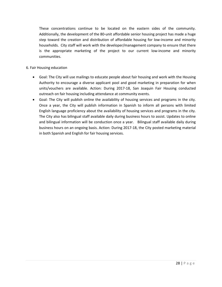These concentrations continue to be located on the eastern sides of the community. Additionally, the development of the 80-unit affordable senior housing project has made a huge step toward the creation and distribution of affordable housing for low-income and minority households. City staff will work with the developer/management company to ensure that there is the appropriate marketing of the project to our current low-income and minority communities.

#### 6. Fair Housing education

- Goal: The City will use mailings to educate people about fair housing and work with the Housing Authority to encourage a diverse applicant pool and good marketing in preparation for when units/vouchers are available. Action: During 2017-18, San Joaquin Fair Housing conducted outreach on fair housing including attendance at community events.
- <span id="page-27-0"></span>• Goal: The City will publish online the availability of housing services and programs in the city. Once a year, the City will publish information in Spanish to inform all persons with limited English language proficiency about the availability of housing services and programs in the city. The City also has bilingual staff available daily during business hours to assist. Updates to online and bilingual information will be conduction once a year. Bilingual staff available daily during business hours on an ongoing basis. Action: During 2017-18, the City posted marketing material in both Spanish and English for fair housing services.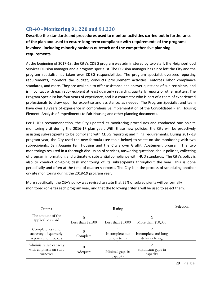## **CR-40 - Monitoring 91.220 and 91.230**

**Describe the standards and procedures used to monitor activities carried out in furtherance of the plan and used to ensure long-term compliance with requirements of the programs involved, including minority business outreach and the comprehensive planning requirements**

At the beginning of 2017-18, the City's CDBG program was administered by two staff, the Neighborhood Services Division manager and a program specialist. The Division manager has since left the City and the program specialist has taken over CDBG responsibilities. The program specialist oversees reporting requirements, monitors the budget, conducts procurement activities, enforces labor compliance standards, and more. They are available to offer assistance and answer questions of sub-recipients, and is in contact with each sub-recipient at least quarterly regarding quarterly reports or other matters. The Program Specialist has four years of experience, and is a contractor who is part of a team of experienced professionals to draw upon for expertise and assistance, as needed. The Program Specialist and team have over 10 years of experience in comprehensive implementation of the Consolidated Plan, Housing Element, Analysis of Impediments to Fair Housing and other planning documents.

Per HUD's recommendation, the City updated its monitoring procedures and conducted one on-site monitoring visit during the 2016-17 plan year. With these new policies, the City will be proactively assisting sub-recipients to be compliant with CDBG reporting and filing requirements. During 2017-18 program year, the City used the new formula (see table below) to select on-site monitoring with two subrecipients: San Joaquin Fair Housing and the City's own Graffiti Abatement program. The two monitorings resulted in a thorough discussion of services, answering questions about policies, collecting of program information, and ultimately, substantial compliance with HUD standards. The City's policy is also to conduct on-going desk monitoring of its subrecipeints throughout the year. This is done periodically and often at the time of quarterly reports. The City is in the process of scheduling another on-site monitoring during the 2018-19 program year.

More specifically, the City's policy was revised to state that 25% of subrecipients will be formally monitored (on-site) each program year, and that the following criteria will be used to select them.

| Criteria                                                          | Rating             |                                 |                                        | Selection |
|-------------------------------------------------------------------|--------------------|---------------------------------|----------------------------------------|-----------|
| The amount of the<br>applicable award                             | Less than $$2,500$ | Less than $$5,000$              | More than $$10,000$                    |           |
| Completeness and<br>accuracy of quarterly<br>reports and invoices | Complete           | Incomplete but<br>timely to fix | Incomplete and long<br>delay in fixing |           |
| Administrative capacity<br>with emphasis on staff<br>turnover     | Adequate           | Minimal gaps in<br>capacity     | Significant gaps in<br>capacity        |           |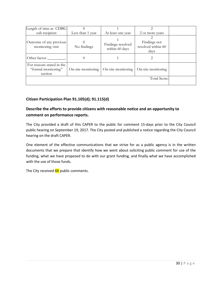| Length of time as CDBG                                      |                    |                                     |                                            |  |
|-------------------------------------------------------------|--------------------|-------------------------------------|--------------------------------------------|--|
| sub-recipient                                               | Less than 1 year   | At least one year                   | 2 or more years                            |  |
| Outcome of any previous<br>monitoring visit                 | No findings        | Findings resolved<br>within 60 days | Findings not<br>resolved within 60<br>days |  |
| Other factor                                                |                    |                                     |                                            |  |
| For reasons stated in the<br>"formal monitoring"<br>section | On-site monitoring | On-site monitoring                  | On-site monitoring                         |  |
|                                                             | Total Score:       |                                     |                                            |  |

## **Citizen Participation Plan 91.105(d); 91.115(d)**

## **Describe the efforts to provide citizens with reasonable notice and an opportunity to comment on performance reports.**

The City provided a draft of this CAPER to the public for comment 15-days prior to the City Council public hearing on September 19, 2017. The City posted and published a notice regarding the City Council hearing on the draft CAPER.

One element of the effective communications that we strive for as a public agency is in the written documents that we prepare that identify how we went about soliciting public comment for use of the funding, what we have proposed to do with our grant funding, and finally what we have accomplished with the use of those funds.

<span id="page-29-0"></span>The City received XX public comments.